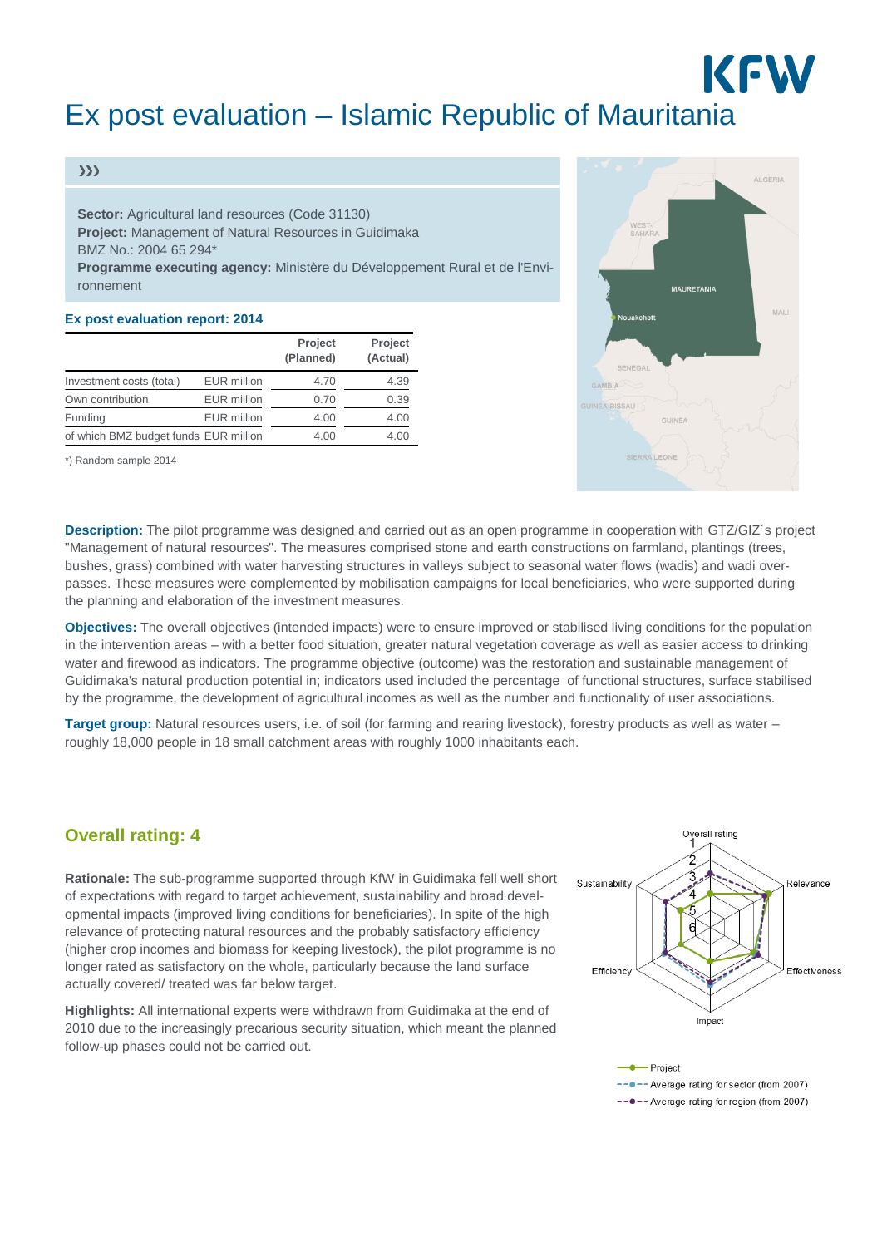# KFW Ex post evaluation – Islamic Republic of Mauritania

#### $\gg$

**Sector:** Agricultural land resources (Code 31130) **Project:** Management of Natural Resources in Guidimaka BMZ No.: 2004 65 294\* **Programme executing agency:** Ministère du Développement Rural et de l'Environnement

#### **Ex post evaluation report: 2014**

|                                       |                    | <b>Project</b><br>(Planned) | Project<br>(Actual) |
|---------------------------------------|--------------------|-----------------------------|---------------------|
| Investment costs (total)              | <b>EUR</b> million | 4.70                        | 4.39                |
| Own contribution                      | <b>EUR</b> million | 0.70                        | 0.39                |
| Funding                               | <b>EUR</b> million | 4.00                        | 4.00                |
| of which BMZ budget funds EUR million |                    | 4.00                        | 4.00                |

\*) Random sample 2014



**Description:** The pilot programme was designed and carried out as an open programme in cooperation with GTZ/GIZ´s project "Management of natural resources". The measures comprised stone and earth constructions on farmland, plantings (trees, bushes, grass) combined with water harvesting structures in valleys subject to seasonal water flows (wadis) and wadi overpasses. These measures were complemented by mobilisation campaigns for local beneficiaries, who were supported during the planning and elaboration of the investment measures.

**Objectives:** The overall objectives (intended impacts) were to ensure improved or stabilised living conditions for the population in the intervention areas – with a better food situation, greater natural vegetation coverage as well as easier access to drinking water and firewood as indicators. The programme objective (outcome) was the restoration and sustainable management of Guidimaka's natural production potential in; indicators used included the percentage of functional structures, surface stabilised by the programme, the development of agricultural incomes as well as the number and functionality of user associations.

**Target group:** Natural resources users, i.e. of soil (for farming and rearing livestock), forestry products as well as water – roughly 18,000 people in 18 small catchment areas with roughly 1000 inhabitants each.

### **Overall rating: 4**

**Rationale:** The sub-programme supported through KfW in Guidimaka fell well short of expectations with regard to target achievement, sustainability and broad developmental impacts (improved living conditions for beneficiaries). In spite of the high relevance of protecting natural resources and the probably satisfactory efficiency (higher crop incomes and biomass for keeping livestock), the pilot programme is no longer rated as satisfactory on the whole, particularly because the land surface actually covered/ treated was far below target.

**Highlights:** All international experts were withdrawn from Guidimaka at the end of 2010 due to the increasingly precarious security situation, which meant the planned follow-up phases could not be carried out.





-- •- Average rating for region (from 2007)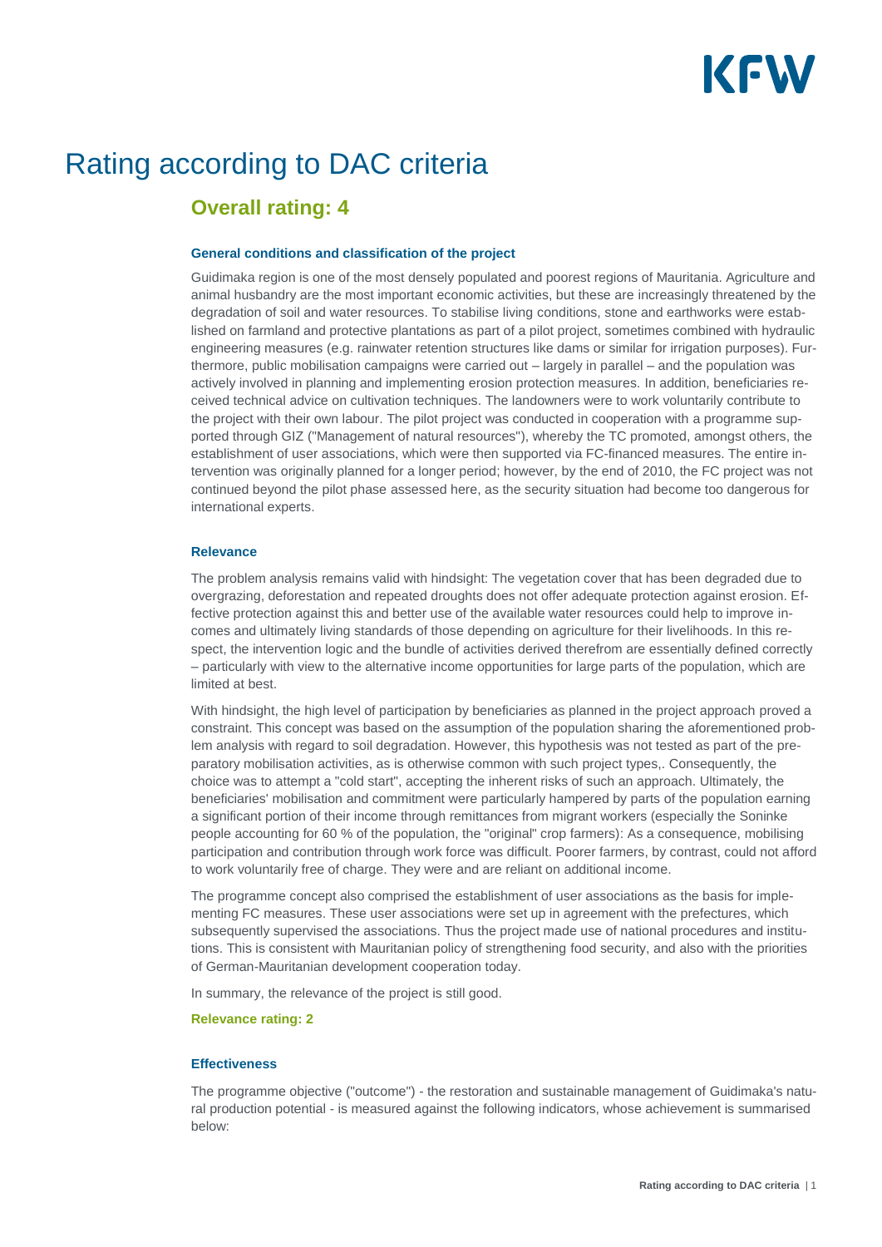# KFW

## Rating according to DAC criteria

## **Overall rating: 4**

#### **General conditions and classification of the project**

Guidimaka region is one of the most densely populated and poorest regions of Mauritania. Agriculture and animal husbandry are the most important economic activities, but these are increasingly threatened by the degradation of soil and water resources. To stabilise living conditions, stone and earthworks were established on farmland and protective plantations as part of a pilot project, sometimes combined with hydraulic engineering measures (e.g. rainwater retention structures like dams or similar for irrigation purposes). Furthermore, public mobilisation campaigns were carried out – largely in parallel – and the population was actively involved in planning and implementing erosion protection measures. In addition, beneficiaries received technical advice on cultivation techniques. The landowners were to work voluntarily contribute to the project with their own labour. The pilot project was conducted in cooperation with a programme supported through GIZ ("Management of natural resources"), whereby the TC promoted, amongst others, the establishment of user associations, which were then supported via FC-financed measures. The entire intervention was originally planned for a longer period; however, by the end of 2010, the FC project was not continued beyond the pilot phase assessed here, as the security situation had become too dangerous for international experts.

#### **Relevance**

The problem analysis remains valid with hindsight: The vegetation cover that has been degraded due to overgrazing, deforestation and repeated droughts does not offer adequate protection against erosion. Effective protection against this and better use of the available water resources could help to improve incomes and ultimately living standards of those depending on agriculture for their livelihoods. In this respect, the intervention logic and the bundle of activities derived therefrom are essentially defined correctly – particularly with view to the alternative income opportunities for large parts of the population, which are limited at best.

With hindsight, the high level of participation by beneficiaries as planned in the project approach proved a constraint. This concept was based on the assumption of the population sharing the aforementioned problem analysis with regard to soil degradation. However, this hypothesis was not tested as part of the preparatory mobilisation activities, as is otherwise common with such project types,. Consequently, the choice was to attempt a "cold start", accepting the inherent risks of such an approach. Ultimately, the beneficiaries' mobilisation and commitment were particularly hampered by parts of the population earning a significant portion of their income through remittances from migrant workers (especially the Soninke people accounting for 60 % of the population, the "original" crop farmers): As a consequence, mobilising participation and contribution through work force was difficult. Poorer farmers, by contrast, could not afford to work voluntarily free of charge. They were and are reliant on additional income.

The programme concept also comprised the establishment of user associations as the basis for implementing FC measures. These user associations were set up in agreement with the prefectures, which subsequently supervised the associations. Thus the project made use of national procedures and institutions. This is consistent with Mauritanian policy of strengthening food security, and also with the priorities of German-Mauritanian development cooperation today.

In summary, the relevance of the project is still good.

#### **Relevance rating: 2**

#### **Effectiveness**

The programme objective ("outcome") - the restoration and sustainable management of Guidimaka's natural production potential - is measured against the following indicators, whose achievement is summarised below: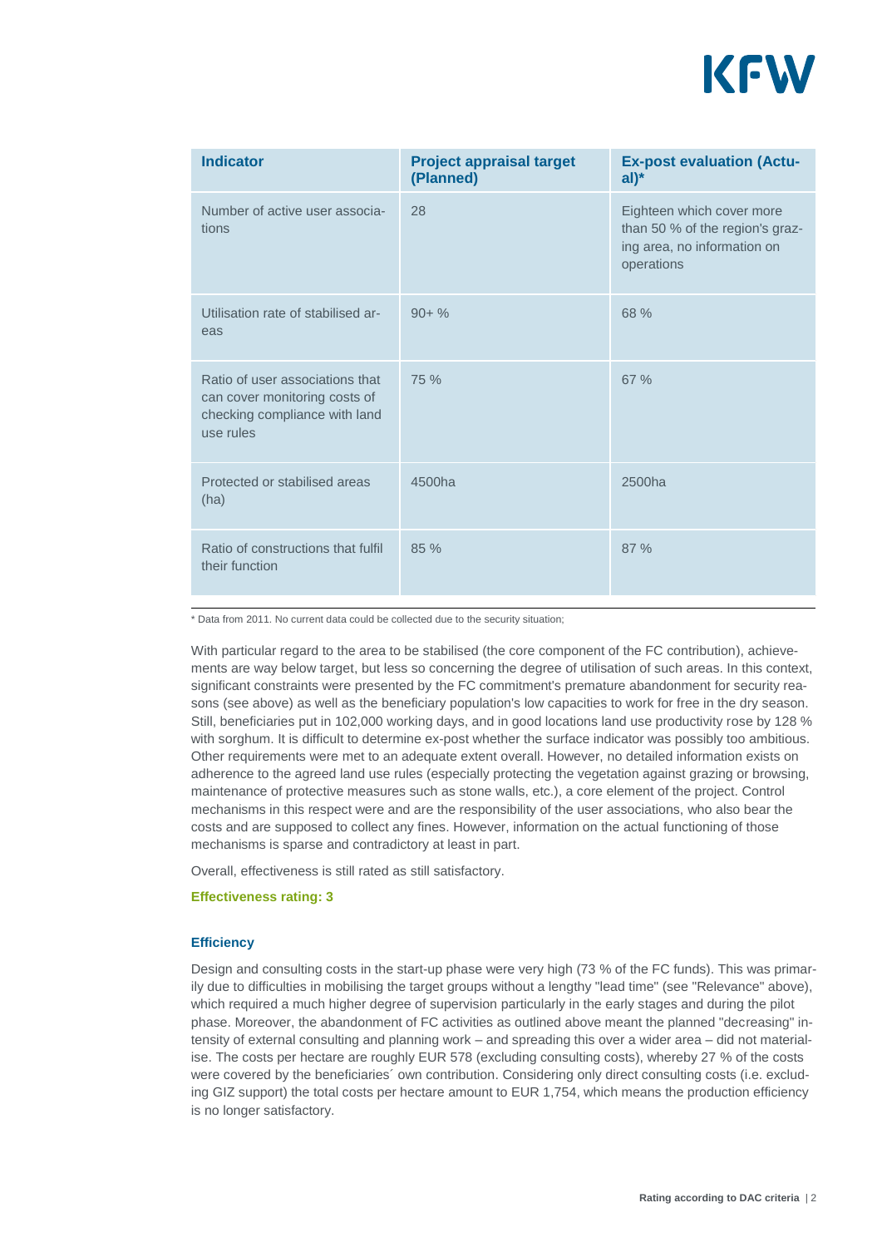

| <b>Indicator</b>                                                                                               | <b>Project appraisal target</b><br>(Planned) | <b>Ex-post evaluation (Actu-</b><br>$al)^*$                                                               |
|----------------------------------------------------------------------------------------------------------------|----------------------------------------------|-----------------------------------------------------------------------------------------------------------|
| Number of active user associa-<br>tions                                                                        | 28                                           | Eighteen which cover more<br>than 50 % of the region's graz-<br>ing area, no information on<br>operations |
| Utilisation rate of stabilised ar-<br>eas                                                                      | $90 + \%$                                    | 68 %                                                                                                      |
| Ratio of user associations that<br>can cover monitoring costs of<br>checking compliance with land<br>use rules | 75 %                                         | 67%                                                                                                       |
| Protected or stabilised areas<br>(ha)                                                                          | 4500ha                                       | 2500ha                                                                                                    |
| Ratio of constructions that fulfil<br>their function                                                           | 85 %                                         | 87%                                                                                                       |

\* Data from 2011. No current data could be collected due to the security situation;

With particular regard to the area to be stabilised (the core component of the FC contribution), achievements are way below target, but less so concerning the degree of utilisation of such areas. In this context, significant constraints were presented by the FC commitment's premature abandonment for security reasons (see above) as well as the beneficiary population's low capacities to work for free in the dry season. Still, beneficiaries put in 102,000 working days, and in good locations land use productivity rose by 128 % with sorghum. It is difficult to determine ex-post whether the surface indicator was possibly too ambitious. Other requirements were met to an adequate extent overall. However, no detailed information exists on adherence to the agreed land use rules (especially protecting the vegetation against grazing or browsing, maintenance of protective measures such as stone walls, etc.), a core element of the project. Control mechanisms in this respect were and are the responsibility of the user associations, who also bear the costs and are supposed to collect any fines. However, information on the actual functioning of those mechanisms is sparse and contradictory at least in part.

Overall, effectiveness is still rated as still satisfactory.

#### **Effectiveness rating: 3**

#### **Efficiency**

Design and consulting costs in the start-up phase were very high (73 % of the FC funds). This was primarily due to difficulties in mobilising the target groups without a lengthy "lead time" (see "Relevance" above), which required a much higher degree of supervision particularly in the early stages and during the pilot phase. Moreover, the abandonment of FC activities as outlined above meant the planned "decreasing" intensity of external consulting and planning work – and spreading this over a wider area – did not materialise. The costs per hectare are roughly EUR 578 (excluding consulting costs), whereby 27 % of the costs were covered by the beneficiaries´ own contribution. Considering only direct consulting costs (i.e. excluding GIZ support) the total costs per hectare amount to EUR 1,754, which means the production efficiency is no longer satisfactory.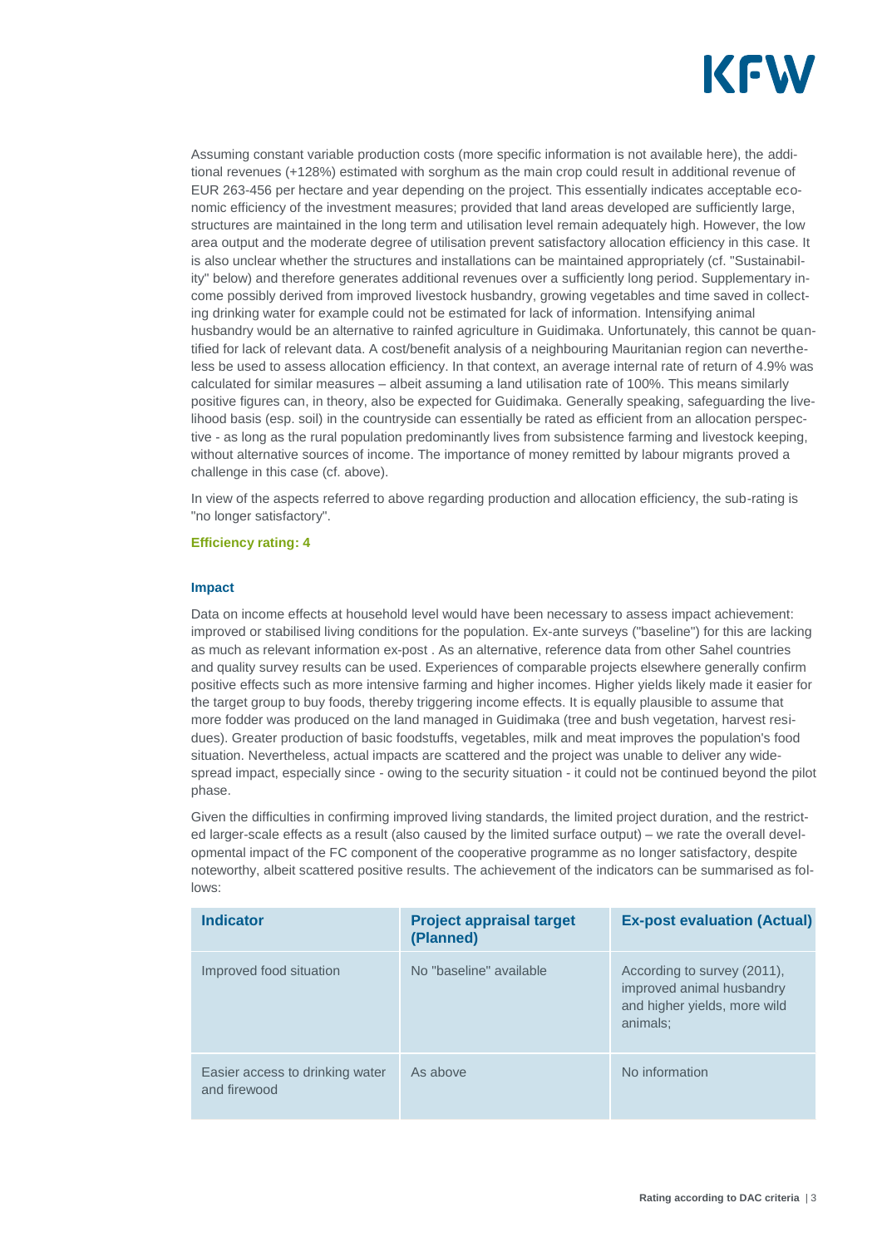

Assuming constant variable production costs (more specific information is not available here), the additional revenues (+128%) estimated with sorghum as the main crop could result in additional revenue of EUR 263-456 per hectare and year depending on the project. This essentially indicates acceptable economic efficiency of the investment measures; provided that land areas developed are sufficiently large, structures are maintained in the long term and utilisation level remain adequately high. However, the low area output and the moderate degree of utilisation prevent satisfactory allocation efficiency in this case. It is also unclear whether the structures and installations can be maintained appropriately (cf. "Sustainability" below) and therefore generates additional revenues over a sufficiently long period. Supplementary income possibly derived from improved livestock husbandry, growing vegetables and time saved in collecting drinking water for example could not be estimated for lack of information. Intensifying animal husbandry would be an alternative to rainfed agriculture in Guidimaka. Unfortunately, this cannot be quantified for lack of relevant data. A cost/benefit analysis of a neighbouring Mauritanian region can nevertheless be used to assess allocation efficiency. In that context, an average internal rate of return of 4.9% was calculated for similar measures – albeit assuming a land utilisation rate of 100%. This means similarly positive figures can, in theory, also be expected for Guidimaka. Generally speaking, safeguarding the livelihood basis (esp. soil) in the countryside can essentially be rated as efficient from an allocation perspective - as long as the rural population predominantly lives from subsistence farming and livestock keeping, without alternative sources of income. The importance of money remitted by labour migrants proved a challenge in this case (cf. above).

In view of the aspects referred to above regarding production and allocation efficiency, the sub-rating is "no longer satisfactory".

#### **Efficiency rating: 4**

#### **Impact**

Data on income effects at household level would have been necessary to assess impact achievement: improved or stabilised living conditions for the population. Ex-ante surveys ("baseline") for this are lacking as much as relevant information ex-post . As an alternative, reference data from other Sahel countries and quality survey results can be used. Experiences of comparable projects elsewhere generally confirm positive effects such as more intensive farming and higher incomes. Higher yields likely made it easier for the target group to buy foods, thereby triggering income effects. It is equally plausible to assume that more fodder was produced on the land managed in Guidimaka (tree and bush vegetation, harvest residues). Greater production of basic foodstuffs, vegetables, milk and meat improves the population's food situation. Nevertheless, actual impacts are scattered and the project was unable to deliver any widespread impact, especially since - owing to the security situation - it could not be continued beyond the pilot phase.

Given the difficulties in confirming improved living standards, the limited project duration, and the restricted larger-scale effects as a result (also caused by the limited surface output) – we rate the overall developmental impact of the FC component of the cooperative programme as no longer satisfactory, despite noteworthy, albeit scattered positive results. The achievement of the indicators can be summarised as follows:

| <b>Indicator</b>                                | <b>Project appraisal target</b><br>(Planned) | <b>Ex-post evaluation (Actual)</b>                                                                   |
|-------------------------------------------------|----------------------------------------------|------------------------------------------------------------------------------------------------------|
| Improved food situation                         | No "baseline" available                      | According to survey (2011),<br>improved animal husbandry<br>and higher yields, more wild<br>animals: |
| Easier access to drinking water<br>and firewood | As above                                     | No information                                                                                       |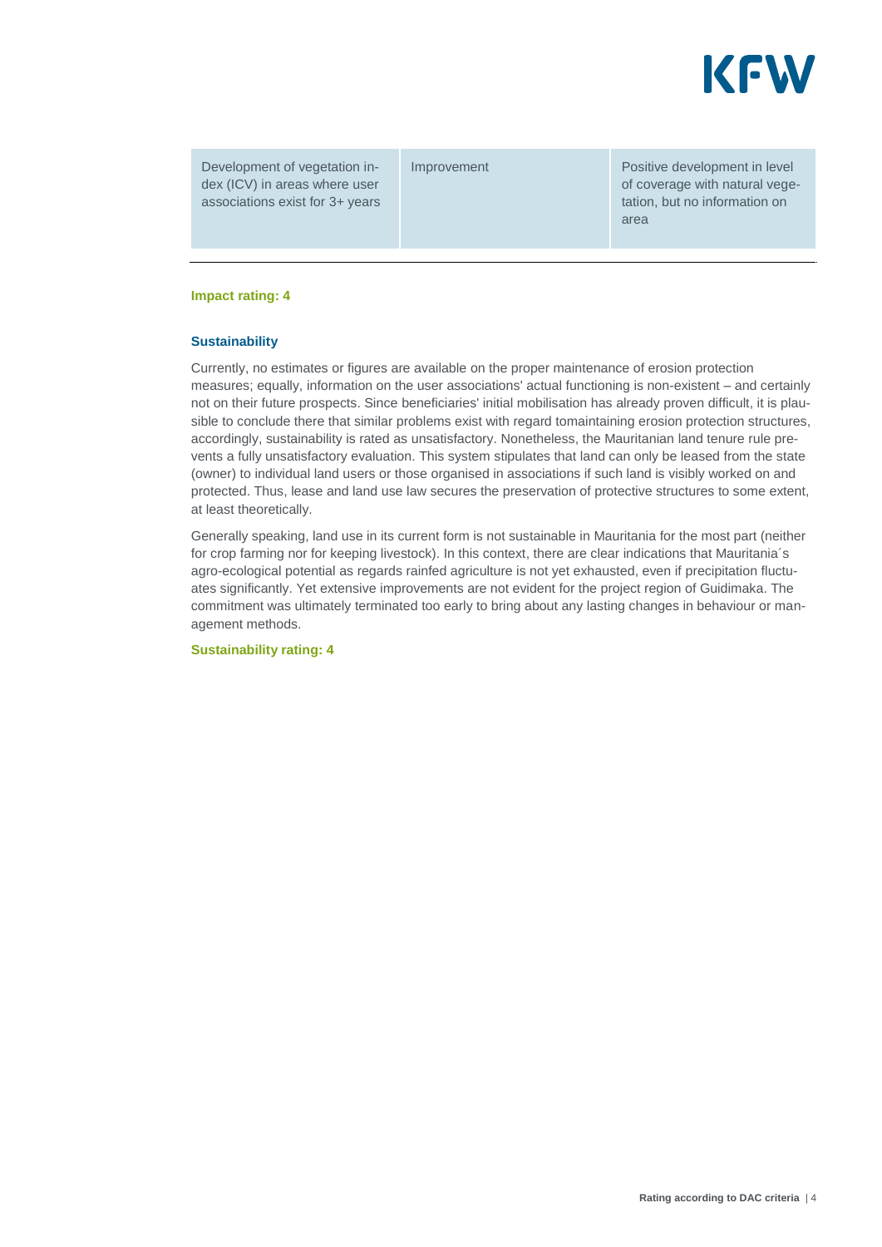

Development of vegetation index (ICV) in areas where user associations exist for 3+ years

Improvement **Positive development** in level of coverage with natural vegetation, but no information on area

#### **Impact rating: 4**

#### **Sustainability**

Currently, no estimates or figures are available on the proper maintenance of erosion protection measures; equally, information on the user associations' actual functioning is non-existent – and certainly not on their future prospects. Since beneficiaries' initial mobilisation has already proven difficult, it is plausible to conclude there that similar problems exist with regard tomaintaining erosion protection structures, accordingly, sustainability is rated as unsatisfactory. Nonetheless, the Mauritanian land tenure rule prevents a fully unsatisfactory evaluation. This system stipulates that land can only be leased from the state (owner) to individual land users or those organised in associations if such land is visibly worked on and protected. Thus, lease and land use law secures the preservation of protective structures to some extent, at least theoretically.

Generally speaking, land use in its current form is not sustainable in Mauritania for the most part (neither for crop farming nor for keeping livestock). In this context, there are clear indications that Mauritania´s agro-ecological potential as regards rainfed agriculture is not yet exhausted, even if precipitation fluctuates significantly. Yet extensive improvements are not evident for the project region of Guidimaka. The commitment was ultimately terminated too early to bring about any lasting changes in behaviour or management methods.

**Sustainability rating: 4**